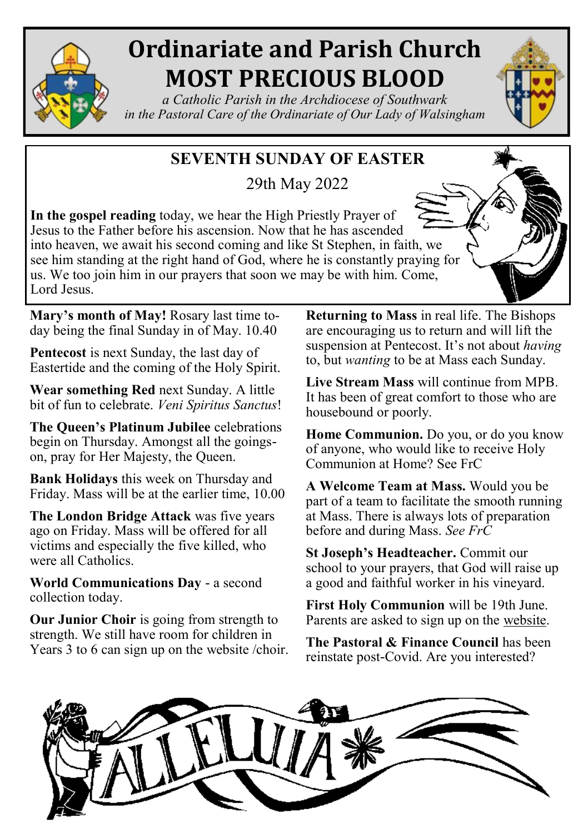

## **Ordinariate and Parish Church MOST PRECIOUS BLOOD**

*a Catholic Parish in the Archdiocese of Southwark in the Pastoral Care of the Ordinariate of Our Lady of Walsingham*

### **SEVENTH SUNDAY OF EASTER**

29th May 2022

**In the gospel reading** today, we hear the High Priestly Prayer of Jesus to the Father before his ascension. Now that he has ascended into heaven, we await his second coming and like St Stephen, in faith, we see him standing at the right hand of God, where he is constantly praying for us. We too join him in our prayers that soon we may be with him. Come, Lord Jesus.

**Mary's month of May!** Rosary last time today being the final Sunday in of May. 10.40

**Pentecost** is next Sunday, the last day of Eastertide and the coming of the Holy Spirit.

**Wear something Red** next Sunday. A little bit of fun to celebrate. *Veni Spiritus Sanctus*!

**The Queen's Platinum Jubilee** celebrations begin on Thursday. Amongst all the goingson, pray for Her Majesty, the Queen.

**Bank Holidays** this week on Thursday and Friday. Mass will be at the earlier time, 10.00

**The London Bridge Attack** was five years ago on Friday. Mass will be offered for all victims and especially the five killed, who were all Catholics.

**World Communications Day** - a second collection today.

**Our Junior Choir** is going from strength to strength. We still have room for children in Years 3 to 6 can sign up on the website /choir. **Returning to Mass** in real life. The Bishops are encouraging us to return and will lift the suspension at Pentecost. It's not about *having* to, but *wanting* to be at Mass each Sunday.

**Live Stream Mass** will continue from MPB. It has been of great comfort to those who are housebound or poorly.

**Home Communion.** Do you, or do you know of anyone, who would like to receive Holy Communion at Home? See FrC

**A Welcome Team at Mass.** Would you be part of a team to facilitate the smooth running at Mass. There is always lots of preparation before and during Mass. *See FrC* 

**St Joseph's Headteacher.** Commit our school to your prayers, that God will raise up a good and faithful worker in his vineyard.

**First Holy Communion** will be 19th June. Parents are asked to sign up on the [website.](https://mpb.churchsuite.com/forms/gpzh9mpo) 

**The Pastoral & Finance Council** has been reinstate post-Covid. Are you interested?

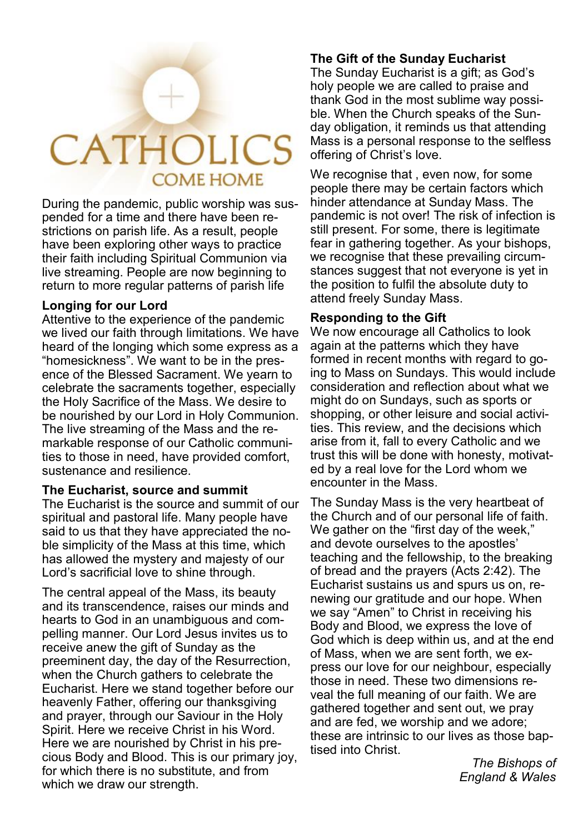# **CATHOLICS COME HOME**

During the pandemic, public worship was suspended for a time and there have been restrictions on parish life. As a result, people have been exploring other ways to practice their faith including Spiritual Communion via live streaming. People are now beginning to return to more regular patterns of parish life

#### **Longing for our Lord**

Attentive to the experience of the pandemic we lived our faith through limitations. We have heard of the longing which some express as a "homesickness". We want to be in the presence of the Blessed Sacrament. We yearn to celebrate the sacraments together, especially the Holy Sacrifice of the Mass. We desire to be nourished by our Lord in Holy Communion. The live streaming of the Mass and the remarkable response of our Catholic communities to those in need, have provided comfort, sustenance and resilience.

#### **The Eucharist, source and summit**

The Eucharist is the source and summit of our spiritual and pastoral life. Many people have said to us that they have appreciated the noble simplicity of the Mass at this time, which has allowed the mystery and majesty of our Lord's sacrificial love to shine through.

The central appeal of the Mass, its beauty and its transcendence, raises our minds and hearts to God in an unambiguous and compelling manner. Our Lord Jesus invites us to receive anew the gift of Sunday as the preeminent day, the day of the Resurrection, when the Church gathers to celebrate the Eucharist. Here we stand together before our heavenly Father, offering our thanksgiving and prayer, through our Saviour in the Holy Spirit. Here we receive Christ in his Word. Here we are nourished by Christ in his precious Body and Blood. This is our primary joy, for which there is no substitute, and from which we draw our strength.

#### **The Gift of the Sunday Eucharist**

The Sunday Eucharist is a gift; as God's holy people we are called to praise and thank God in the most sublime way possible. When the Church speaks of the Sunday obligation, it reminds us that attending Mass is a personal response to the selfless offering of Christ's love.

We recognise that, even now, for some people there may be certain factors which hinder attendance at Sunday Mass. The pandemic is not over! The risk of infection is still present. For some, there is legitimate fear in gathering together. As your bishops, we recognise that these prevailing circumstances suggest that not everyone is yet in the position to fulfil the absolute duty to attend freely Sunday Mass.

#### **Responding to the Gift**

We now encourage all Catholics to look again at the patterns which they have formed in recent months with regard to going to Mass on Sundays. This would include consideration and reflection about what we might do on Sundays, such as sports or shopping, or other leisure and social activities. This review, and the decisions which arise from it, fall to every Catholic and we trust this will be done with honesty, motivated by a real love for the Lord whom we encounter in the Mass.

The Sunday Mass is the very heartbeat of the Church and of our personal life of faith. We gather on the "first day of the week," and devote ourselves to the apostles' teaching and the fellowship, to the breaking of bread and the prayers (Acts 2:42). The Eucharist sustains us and spurs us on, renewing our gratitude and our hope. When we say "Amen" to Christ in receiving his Body and Blood, we express the love of God which is deep within us, and at the end of Mass, when we are sent forth, we express our love for our neighbour, especially those in need. These two dimensions reveal the full meaning of our faith. We are gathered together and sent out, we pray and are fed, we worship and we adore; these are intrinsic to our lives as those baptised into Christ.

> *The Bishops of England & Wales*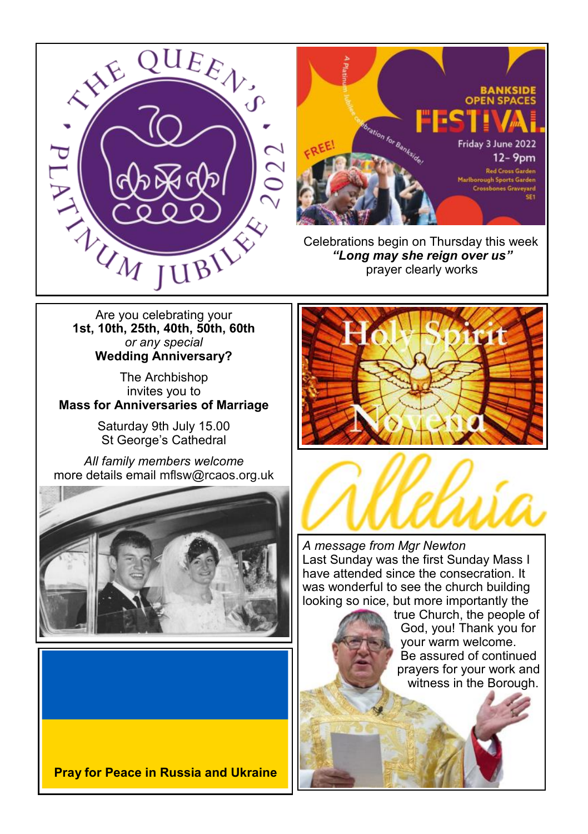



 Celebrations begin on Thursday this week *"Long may she reign over us"* prayer clearly works

**1st, 10th, 25th, 40th, 50th, 60th**  *or any special*  **Wedding Anniversary?**

The Archbishop invites you to **Mass for Anniversaries of Marriage**

> Saturday 9th July 15.00 St George's Cathedral

*All family members welcome* more details email [mflsw@rcaos.org.uk](mailto:mflsw@rcaos.org.uk)









*A message from Mgr Newton* Last Sunday was the first Sunday Mass I have attended since the consecration. It was wonderful to see the church building looking so nice, but more importantly the

 true Church, the people of God, you! Thank you for your warm welcome. Be assured of continued prayers for your work and witness in the Borough.